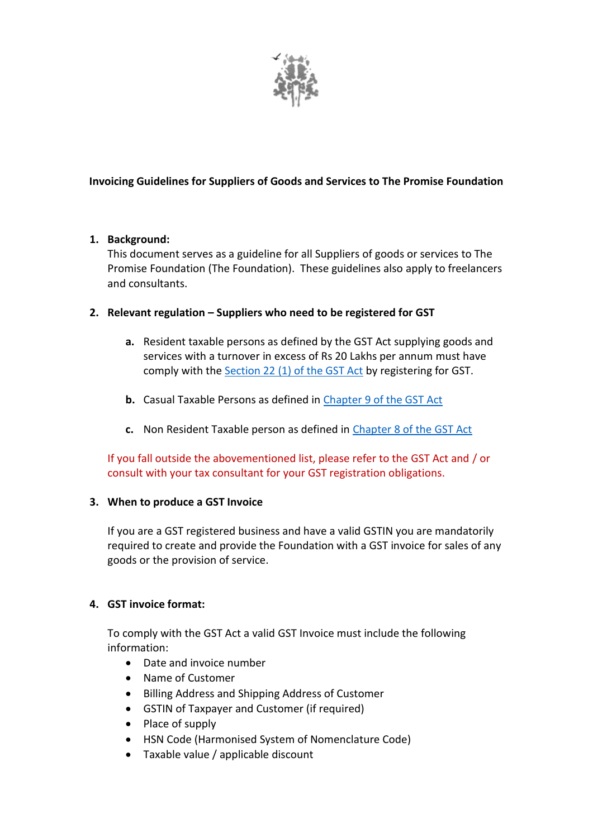

# **Invoicing Guidelines for Suppliers of Goods and Services to The Promise Foundation**

## **1. Background:**

This document serves as a guideline for all Suppliers of goods or services to The Promise Foundation (The Foundation). These guidelines also apply to freelancers and consultants.

## **2. Relevant regulation – Suppliers who need to be registered for GST**

- **a.** Resident taxable persons as defined by the GST Act supplying goods and services with a turnover in excess of Rs 20 Lakhs per annum must have comply with the [Section 22 \(1\) of the GST Act](https://cbic-gst.gov.in/pdf/CGST-Act-Updated-30092020.pdf) by registering for GST.
- **b.** Casual Taxable Persons as defined in [Chapter 9 of the GST Act](https://www.cbic.gov.in/resources/htdocs-cbec/gst/51_GST_Flyer_Chapter9.pdf)
- **c.** Non Resident Taxable person as defined in [Chapter 8 of the GST Act](https://www.cbic.gov.in/resources/htdocs-cbec/gst/51_GST_Flyer_Chapter8.pdf)

If you fall outside the abovementioned list, please refer to the GST Act and / or consult with your tax consultant for your GST registration obligations.

#### **3. When to produce a GST Invoice**

If you are a GST registered business and have a valid GSTIN you are mandatorily required to create and provide the Foundation with a GST invoice for sales of any goods or the provision of service.

#### **4. GST invoice format:**

To comply with the GST Act a valid GST Invoice must include the following information:

- Date and invoice number
- Name of Customer
- Billing Address and Shipping Address of Customer
- GSTIN of Taxpayer and Customer (if required)
- Place of supply
- HSN Code (Harmonised System of Nomenclature Code)
- Taxable value / applicable discount